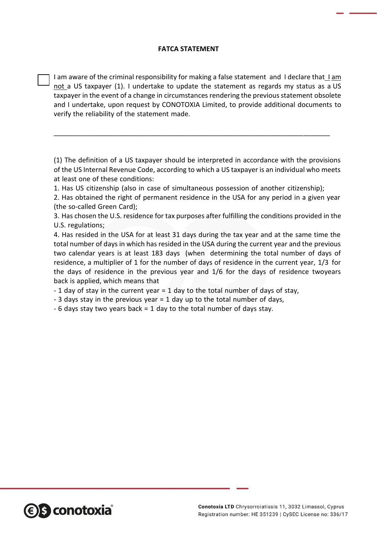## **FATCA STATEMENT**

I am aware of the criminal responsibility for making a false statement and I declare that  $1 \text{ am}$ not a US taxpayer (1). I undertake to update the statement as regards my status as a US taxpayer in the event of a change in circumstances rendering the previous statement obsolete and I undertake, upon request by CONOTOXIA Limited, to provide additional documents to verify the reliability of the statement made.

(1) The definition of a US taxpayer should be interpreted in accordance with the provisions of the US Internal Revenue Code, according to which a US taxpayer is an individual who meets at least one of these conditions:

1. Has US citizenship (also in case of simultaneous possession of another citizenship);

\_\_\_\_\_\_\_\_\_\_\_\_\_\_\_\_\_\_\_\_\_\_\_\_\_\_\_\_\_\_\_\_\_\_\_\_\_\_\_\_\_\_\_\_\_\_\_\_\_\_\_\_\_\_\_\_\_\_\_\_\_\_\_\_\_\_\_\_\_\_\_\_\_

2. Has obtained the right of permanent residence in the USA for any period in a given year (the so-called Green Card);

3. Has chosen the U.S. residence for tax purposes after fulfilling the conditions provided in the U.S. regulations;

4. Has resided in the USA for at least 31 days during the tax year and at the same time the total number of days in which has resided in the USA during the current year and the previous two calendar years is at least 183 days (when determining the total number of days of residence, a multiplier of 1 for the number of days of residence in the current year, 1/3 for the days of residence in the previous year and 1/6 for the days of residence twoyears back is applied, which means that

- 1 day of stay in the current year = 1 day to the total number of days of stay,

- 3 days stay in the previous year = 1 day up to the total number of days,

- 6 days stay two years back = 1 day to the total number of days stay.

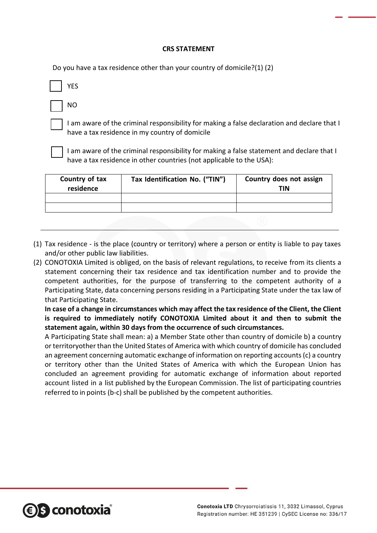## **CRS STATEMENT**

Do you have a tax residence other than your country of domicile?(1) (2)

|--|

NO

I am aware of the criminal responsibility for making a false declaration and declare that I have a tax residence in my country of domicile

I am aware of the criminal responsibility for making a false statement and declare that I have a tax residence in other countries (not applicable to the USA):

| Country of tax<br>residence | Tax Identification No. ("TIN") | Country does not assign<br>TIN |
|-----------------------------|--------------------------------|--------------------------------|
|                             |                                |                                |
|                             |                                |                                |
|                             |                                |                                |

- (1) Tax residence is the place (country or territory) where a person or entity is liable to pay taxes and/or other public law liabilities.
- (2) CONOTOXIA Limited is obliged, on the basis of relevant regulations, to receive from its clients a statement concerning their tax residence and tax identification number and to provide the competent authorities, for the purpose of transferring to the competent authority of a Participating State, data concerning persons residing in a Participating State under the tax law of that Participating State.

**In case of a change in circumstances which may affect the tax residence of the Client, the Client is required to immediately notify CONOTOXIA Limited about it and then to submit the statement again, within 30 days from the occurrence of such circumstances.**

A Participating State shall mean: a) a Member State other than country of domicile b) a country orterritoryother than the United States of America with which country of domicile has concluded an agreement concerning automatic exchange of information on reporting accounts (c) a country or territory other than the United States of America with which the European Union has concluded an agreement providing for automatic exchange of information about reported account listed in a list published by the European Commission. The list of participating countries referred to in points (b-c) shall be published by the competent authorities.

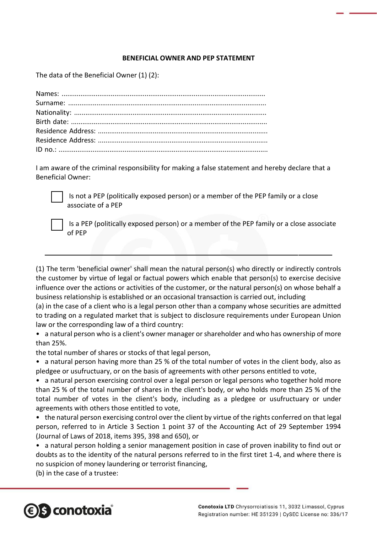## **BENEFICIAL OWNER AND PEP STATEMENT**

The data of the Beneficial Owner (1) (2):

I am aware of the criminal responsibility for making a false statement and hereby declare that a Beneficial Owner:



Is not a PEP (politically exposed person) or a member of the PEP family or a close associate of a PEP

Is a PEP (politically exposed person) or a member of the PEP family or a close associate of PEP

(1) The term 'beneficial owner' shall mean the natural person(s) who directly or indirectly controls the customer by virtue of legal or factual powers which enable that person(s) to exercise decisive influence over the actions or activities of the customer, or the natural person(s) on whose behalf a business relationship is established or an occasional transaction is carried out, including

(a) in the case of a client who is a legal person other than a company whose securities are admitted to trading on a regulated market that is subject to disclosure requirements under European Union law or the corresponding law of a third country:

• a natural person who is a client's owner manager or shareholder and who has ownership of more than 25%.

the total number of shares or stocks of that legal person,

- a natural person having more than 25 % of the total number of votes in the client body, also as pledgee or usufructuary, or on the basis of agreements with other persons entitled to vote,
- a natural person exercising control over a legal person or legal persons who together hold more than 25 % of the total number of shares in the client's body, or who holds more than 25 % of the total number of votes in the client's body, including as a pledgee or usufructuary or under agreements with others those entitled to vote,
- the natural person exercising control over the client by virtue of the rights conferred on that legal person, referred to in Article 3 Section 1 point 37 of the Accounting Act of 29 September 1994 (Journal of Laws of 2018, items 395, 398 and 650), or
- a natural person holding a senior management position in case of proven inability to find out or doubts as to the identity of the natural persons referred to in the first tiret 1-4, and where there is no suspicion of money laundering or terrorist financing,

(b) in the case of a trustee: